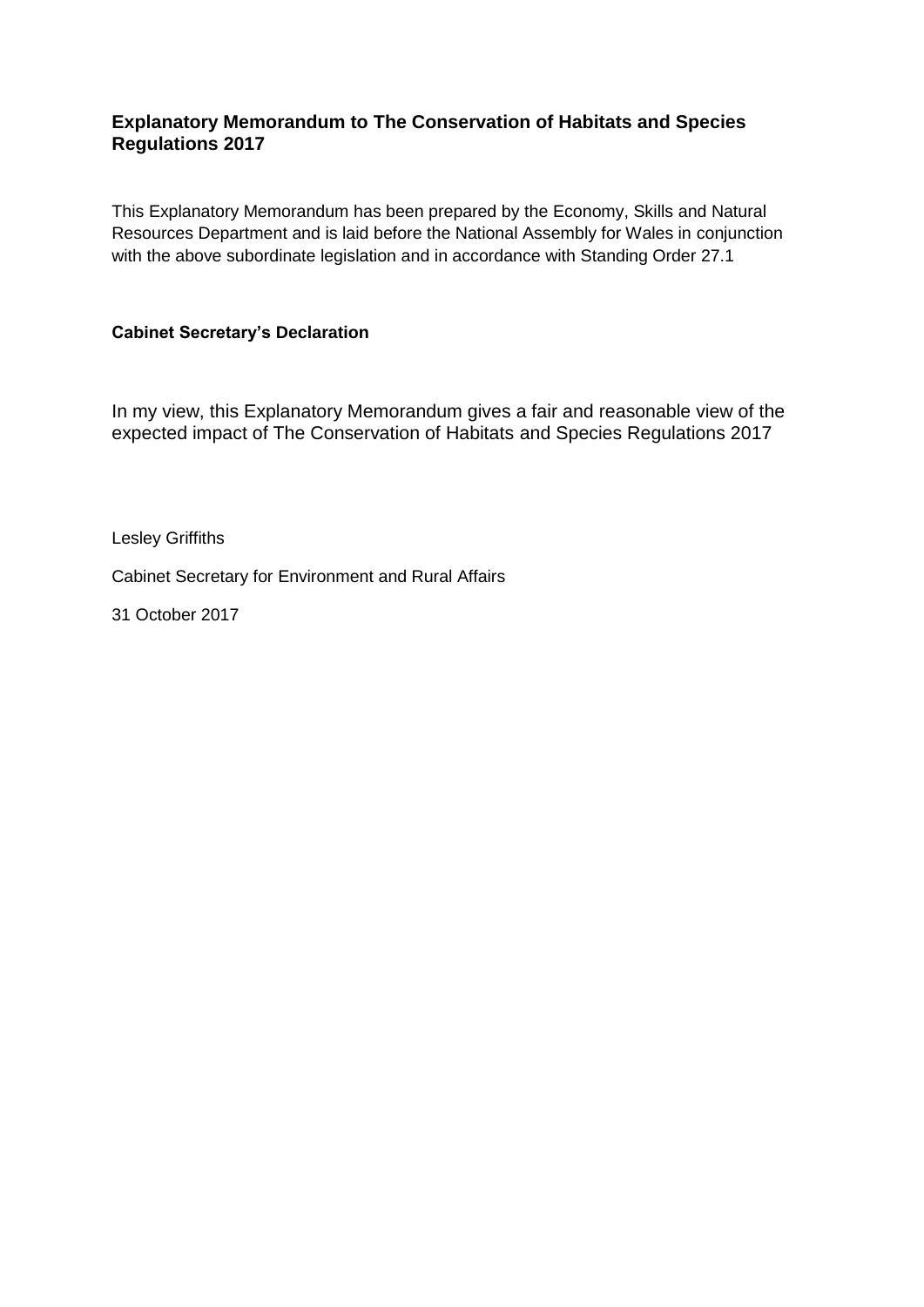### **Explanatory Memorandum to The Conservation of Habitats and Species Regulations 2017**

This Explanatory Memorandum has been prepared by the Economy, Skills and Natural Resources Department and is laid before the National Assembly for Wales in conjunction with the above subordinate legislation and in accordance with Standing Order 27.1

### **Cabinet Secretary's Declaration**

In my view, this Explanatory Memorandum gives a fair and reasonable view of the expected impact of The Conservation of Habitats and Species Regulations 2017

Lesley Griffiths

Cabinet Secretary for Environment and Rural Affairs

31 October 2017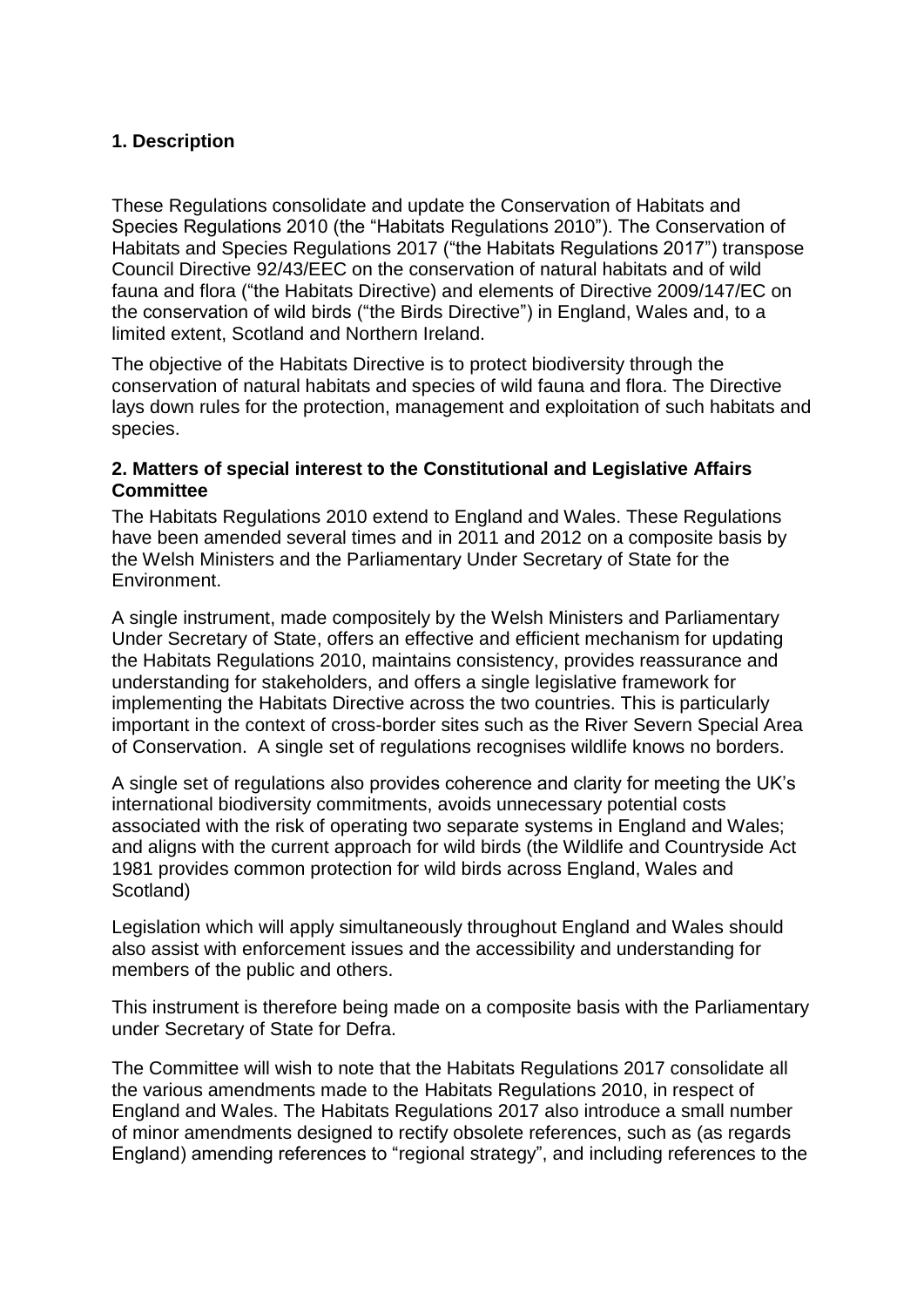# **1. Description**

These Regulations consolidate and update the Conservation of Habitats and Species Regulations 2010 (the "Habitats Regulations 2010"). The Conservation of Habitats and Species Regulations 2017 ("the Habitats Regulations 2017") transpose Council Directive 92/43/EEC on the conservation of natural habitats and of wild fauna and flora ("the Habitats Directive) and elements of Directive 2009/147/EC on the conservation of wild birds ("the Birds Directive") in England, Wales and, to a limited extent, Scotland and Northern Ireland.

The objective of the Habitats Directive is to protect biodiversity through the conservation of natural habitats and species of wild fauna and flora. The Directive lays down rules for the protection, management and exploitation of such habitats and species.

### **2. Matters of special interest to the Constitutional and Legislative Affairs Committee**

The Habitats Regulations 2010 extend to England and Wales. These Regulations have been amended several times and in 2011 and 2012 on a composite basis by the Welsh Ministers and the Parliamentary Under Secretary of State for the Environment.

A single instrument, made compositely by the Welsh Ministers and Parliamentary Under Secretary of State, offers an effective and efficient mechanism for updating the Habitats Regulations 2010, maintains consistency, provides reassurance and understanding for stakeholders, and offers a single legislative framework for implementing the Habitats Directive across the two countries. This is particularly important in the context of cross-border sites such as the River Severn Special Area of Conservation. A single set of regulations recognises wildlife knows no borders.

A single set of regulations also provides coherence and clarity for meeting the UK's international biodiversity commitments, avoids unnecessary potential costs associated with the risk of operating two separate systems in England and Wales; and aligns with the current approach for wild birds (the Wildlife and Countryside Act 1981 provides common protection for wild birds across England, Wales and Scotland)

Legislation which will apply simultaneously throughout England and Wales should also assist with enforcement issues and the accessibility and understanding for members of the public and others.

This instrument is therefore being made on a composite basis with the Parliamentary under Secretary of State for Defra.

The Committee will wish to note that the Habitats Regulations 2017 consolidate all the various amendments made to the Habitats Regulations 2010, in respect of England and Wales. The Habitats Regulations 2017 also introduce a small number of minor amendments designed to rectify obsolete references, such as (as regards England) amending references to "regional strategy", and including references to the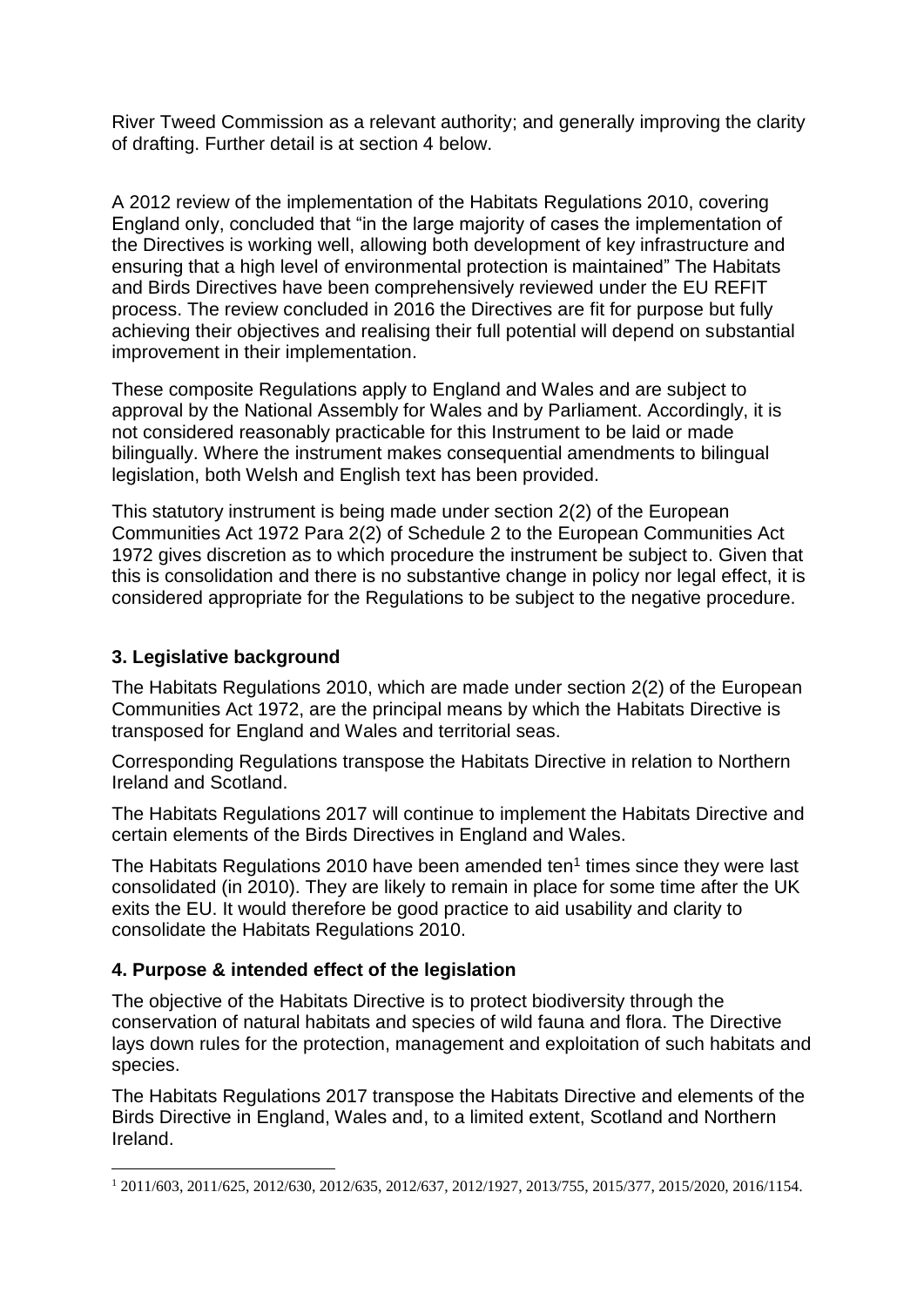River Tweed Commission as a relevant authority; and generally improving the clarity of drafting. Further detail is at section 4 below.

A 2012 review of the implementation of the Habitats Regulations 2010, covering England only, concluded that "in the large majority of cases the implementation of the Directives is working well, allowing both development of key infrastructure and ensuring that a high level of environmental protection is maintained" The Habitats and Birds Directives have been comprehensively reviewed under the EU REFIT process. The review concluded in 2016 the Directives are fit for purpose but fully achieving their objectives and realising their full potential will depend on substantial improvement in their implementation.

These composite Regulations apply to England and Wales and are subject to approval by the National Assembly for Wales and by Parliament. Accordingly, it is not considered reasonably practicable for this Instrument to be laid or made bilingually. Where the instrument makes consequential amendments to bilingual legislation, both Welsh and English text has been provided.

This statutory instrument is being made under section 2(2) of the European Communities Act 1972 Para 2(2) of Schedule 2 to the European Communities Act 1972 gives discretion as to which procedure the instrument be subject to. Given that this is consolidation and there is no substantive change in policy nor legal effect, it is considered appropriate for the Regulations to be subject to the negative procedure.

# **3. Legislative background**

The Habitats Regulations 2010, which are made under section 2(2) of the European Communities Act 1972, are the principal means by which the Habitats Directive is transposed for England and Wales and territorial seas.

Corresponding Regulations transpose the Habitats Directive in relation to Northern Ireland and Scotland.

The Habitats Regulations 2017 will continue to implement the Habitats Directive and certain elements of the Birds Directives in England and Wales.

The Habitats Regulations 2010 have been amended ten $<sup>1</sup>$  times since they were last</sup> consolidated (in 2010). They are likely to remain in place for some time after the UK exits the EU. It would therefore be good practice to aid usability and clarity to consolidate the Habitats Regulations 2010.

# **4. Purpose & intended effect of the legislation**

The objective of the Habitats Directive is to protect biodiversity through the conservation of natural habitats and species of wild fauna and flora. The Directive lays down rules for the protection, management and exploitation of such habitats and species.

The Habitats Regulations 2017 transpose the Habitats Directive and elements of the Birds Directive in England, Wales and, to a limited extent, Scotland and Northern Ireland.

**<sup>.</sup>** <sup>1</sup> 2011/603, 2011/625, 2012/630, 2012/635, 2012/637, 2012/1927, 2013/755, 2015/377, 2015/2020, 2016/1154.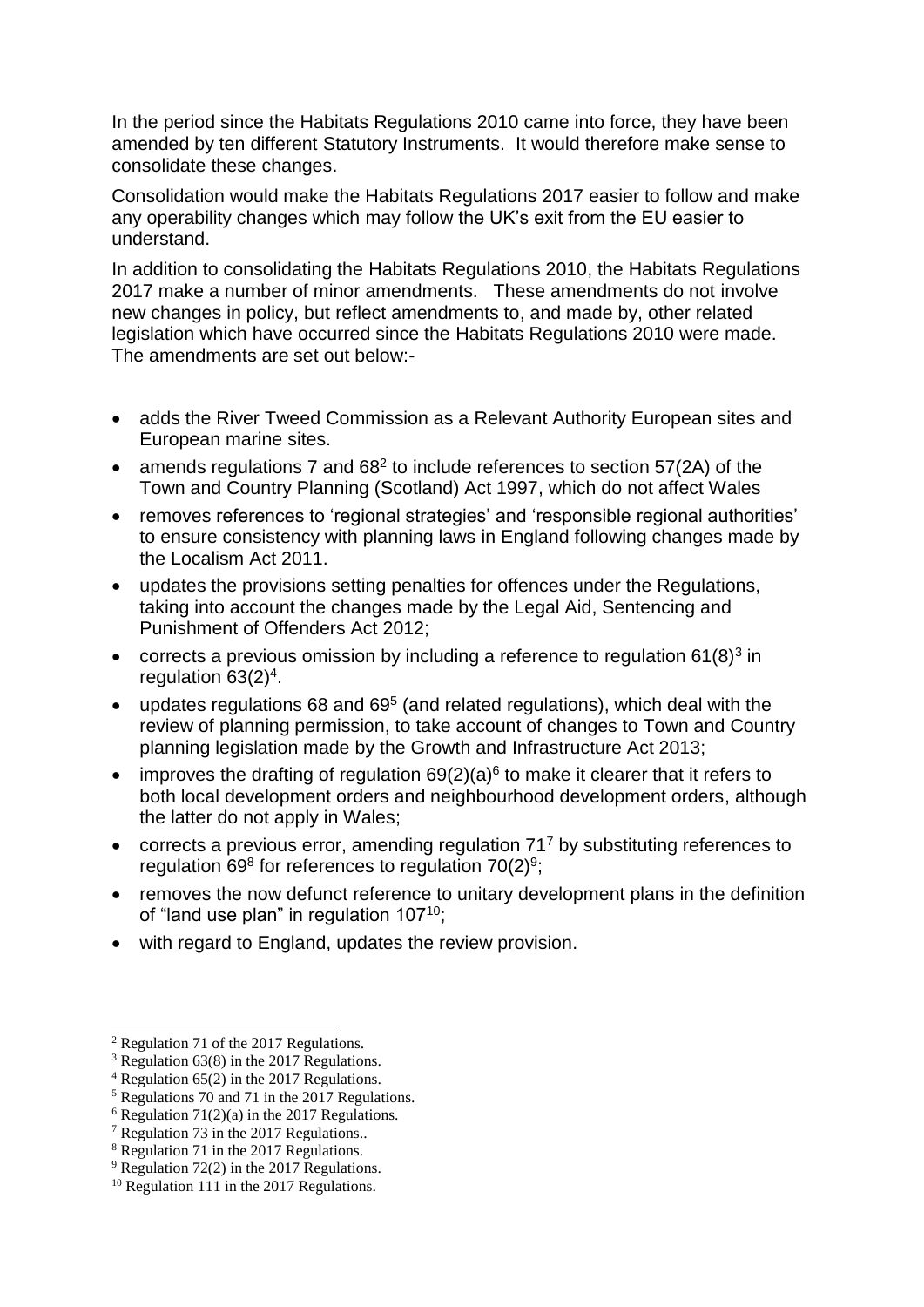In the period since the Habitats Regulations 2010 came into force, they have been amended by ten different Statutory Instruments. It would therefore make sense to consolidate these changes.

Consolidation would make the Habitats Regulations 2017 easier to follow and make any operability changes which may follow the UK's exit from the EU easier to understand.

In addition to consolidating the Habitats Regulations 2010, the Habitats Regulations 2017 make a number of minor amendments. These amendments do not involve new changes in policy, but reflect amendments to, and made by, other related legislation which have occurred since the Habitats Regulations 2010 were made. The amendments are set out below:-

- adds the River Tweed Commission as a Relevant Authority European sites and European marine sites.
- amends regulations 7 and  $68<sup>2</sup>$  to include references to section 57(2A) of the Town and Country Planning (Scotland) Act 1997, which do not affect Wales
- removes references to 'regional strategies' and 'responsible regional authorities' to ensure consistency with planning laws in England following changes made by the Localism Act 2011.
- updates the provisions setting penalties for offences under the Regulations, taking into account the changes made by the Legal Aid, Sentencing and Punishment of Offenders Act 2012;
- corrects a previous omission by including a reference to regulation  $61(8)^3$  in regulation  $63(2)^4$ .
- updates regulations 68 and  $69<sup>5</sup>$  (and related regulations), which deal with the review of planning permission, to take account of changes to Town and Country planning legislation made by the Growth and Infrastructure Act 2013;
- improves the drafting of regulation  $69(2)(a)^6$  to make it clearer that it refers to both local development orders and neighbourhood development orders, although the latter do not apply in Wales;
- $\bullet$  corrects a previous error, amending regulation 71<sup>7</sup> by substituting references to regulation 69 $8$  for references to regulation 70(2) $9$ ;
- removes the now defunct reference to unitary development plans in the definition of "land use plan" in regulation 107<sup>10</sup>;
- with regard to England, updates the review provision.

 $\overline{a}$ 

<sup>2</sup> Regulation 71 of the 2017 Regulations.

 $3$  Regulation 63(8) in the 2017 Regulations.

 $4$  Regulation 65(2) in the 2017 Regulations.

 $5$  Regulations 70 and 71 in the 2017 Regulations.

 $6$  Regulation 71(2)(a) in the 2017 Regulations.

<sup>7</sup> Regulation 73 in the 2017 Regulations..

<sup>8</sup> Regulation 71 in the 2017 Regulations.

 $9$  Regulation 72(2) in the 2017 Regulations.

<sup>&</sup>lt;sup>10</sup> Regulation 111 in the 2017 Regulations.